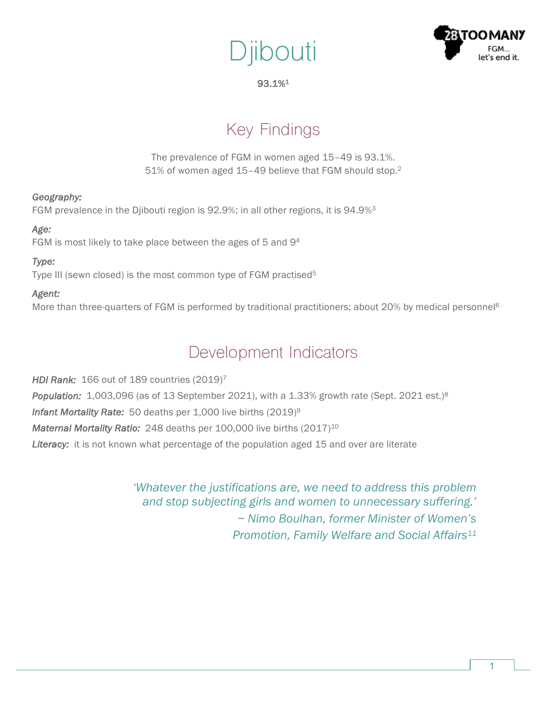



93.1%1

# Key Findings

The prevalence of FGM in women aged 15–49 is 93.1%. 51% of women aged 15-49 believe that FGM should stop.<sup>2</sup>

### *Geography:*

FGM prevalence in the Djibouti region is 92.9%; in all other regions, it is 94.9%3

### *Age:*

FGM is most likely to take place between the ages of 5 and 94

### *Type:*

Type III (sewn closed) is the most common type of FGM practised<sup>5</sup>

### *Agent:*

More than three-quarters of FGM is performed by traditional practitioners; about 20% by medical personnel<sup>6</sup>

## Development Indicators

*HDI Rank:* 166 out of 189 countries (2019)7 *Population:* 1,003,096 (as of 13 September 2021), with a 1.33% growth rate (Sept. 2021 est.)8 *Infant Mortality Rate:* 50 deaths per 1,000 live births (2019)9 *Maternal Mortality Ratio:* 248 deaths per 100,000 live births (2017)<sup>10</sup> Literacy: it is not known what percentage of the population aged 15 and over are literate

> *'Whatever the justifications are, we need to address this problem and stop subjecting girls and women to unnecessary suffering.' ~ Nimo Boulhan, former Minister of Women's Promotion, Family Welfare and Social Affairs11*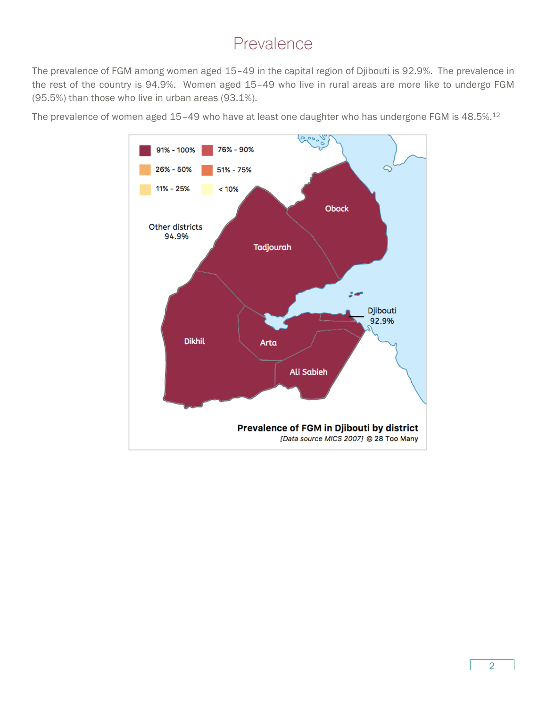### Prevalence

The prevalence of FGM among women aged 15–49 in the capital region of Djibouti is 92.9%. The prevalence in the rest of the country is 94.9%. Women aged 15–49 who live in rural areas are more like to undergo FGM (95.5%) than those who live in urban areas (93.1%).

The prevalence of women aged 15-49 who have at least one daughter who has undergone FGM is 48.5%.<sup>12</sup>

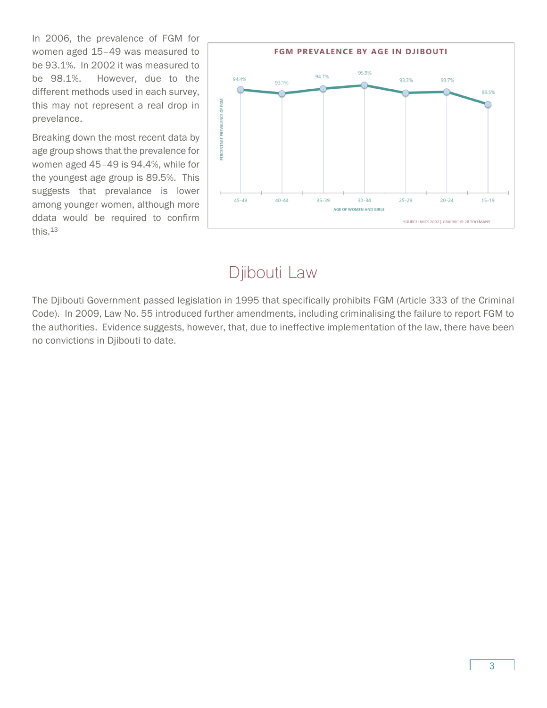In 2006, the prevalence of FGM for women aged 15–49 was measured to be 93.1%. In 2002 it was measured to be 98.1%. However, due to the different methods used in each survey, this may not represent a real drop in prevelance.

Breaking down the most recent data by age group shows that the prevalence for women aged 45–49 is 94.4%, while for the youngest age group is 89.5%. This suggests that prevalance is lower among younger women, although more ddata would be required to confirm this.13



## Djibouti Law

The Djibouti Government passed legislation in 1995 that specifically prohibits FGM (Article 333 of the Criminal Code). In 2009, Law No. 55 introduced further amendments, including criminalising the failure to report FGM to the authorities. Evidence suggests, however, that, due to ineffective implementation of the law, there have been no convictions in Djibouti to date.